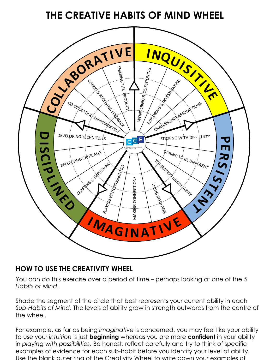## **THE CREATIVE HABITS OF MIND WHEEL**



## **HOW TO USE THE CREATIVITY WHEEL**

You can do this exercise over a period of time – perhaps looking at one of the *5 Habits of Mind*.

Shade the segment of the circle that best represents your current ability in each *Sub-Habits of Mind*. The levels of ability grow in strength outwards from the centre of the wheel.

For example, as far as being *imaginative* is concerned, you may feel like your ability to use your *intuition* is just **beginning** whereas you are more **confident** in your ability in *playing with possibilities*. Be honest, reflect carefully and try to think of specific examples of evidence for each sub-habit before you identify your level of ability. Use the blank outer ring of the Creativity Wheel to write down your examples of